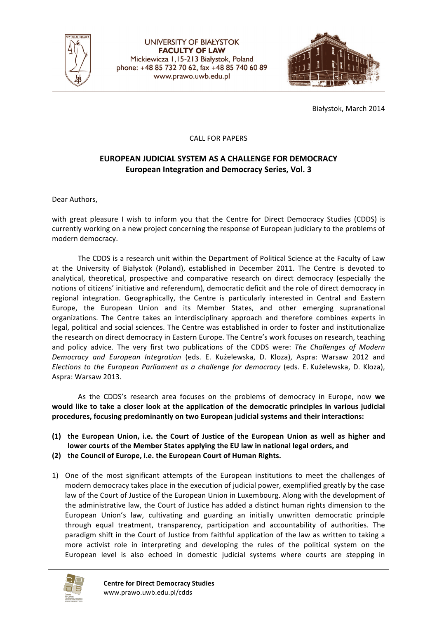

**UNIVERSITY OF BIAŁYSTOK FACULTY OF LAW** Mickiewicza 1,15-213 Białystok, Poland phone: +48 85 732 70 62, fax +48 85 740 60 89 www.prawo.uwb.edu.pl



Białystok, March 2014

## **CALL FOR PAPERS**

## EUROPEAN JUDICIAL SYSTEM AS A CHALLENGE FOR DEMOCRACY **European Integration and Democracy Series, Vol. 3**

Dear Authors,

with great pleasure I wish to inform you that the Centre for Direct Democracy Studies (CDDS) is currently working on a new project concerning the response of European judiciary to the problems of modern democracy.

The CDDS is a research unit within the Department of Political Science at the Faculty of Law at the University of Białystok (Poland), established in December 2011. The Centre is devoted to analytical, theoretical, prospective and comparative research on direct democracy (especially the notions of citizens' initiative and referendum), democratic deficit and the role of direct democracy in regional integration. Geographically, the Centre is particularly interested in Central and Eastern Europe, the European Union and its Member States, and other emerging supranational organizations. The Centre takes an interdisciplinary approach and therefore combines experts in legal, political and social sciences. The Centre was established in order to foster and institutionalize the research on direct democracy in Eastern Europe. The Centre's work focuses on research, teaching and policy advice. The very first two publications of the CDDS were: *The Challenges of Modern Democracy and European Integration* (eds. E. Kużelewska, D. Kloza), Aspra: Warsaw 2012 and *Elections to the European Parliament as a challenge for democracy* (eds. E. Kużelewska, D. Kloza), Aspra: Warsaw 2013.

As the CDDS's research area focuses on the problems of democracy in Europe, now we would like to take a closer look at the application of the democratic principles in various judicial procedures, focusing predominantly on two European judicial systems and their interactions:

- (1) the European Union, i.e. the Court of Justice of the European Union as well as higher and lower courts of the Member States applying the EU law in national legal orders, and
- **(2) the Council of Europe, i.e. the European Court of Human Rights.**
- 1) One of the most significant attempts of the European institutions to meet the challenges of modern democracy takes place in the execution of judicial power, exemplified greatly by the case law of the Court of Justice of the European Union in Luxembourg. Along with the development of the administrative law, the Court of Justice has added a distinct human rights dimension to the European Union's law, cultivating and guarding an initially unwritten democratic principle through equal treatment, transparency, participation and accountability of authorities. The paradigm shift in the Court of Justice from faithful application of the law as written to taking a more activist role in interpreting and developing the rules of the political system on the European level is also echoed in domestic judicial systems where courts are stepping in